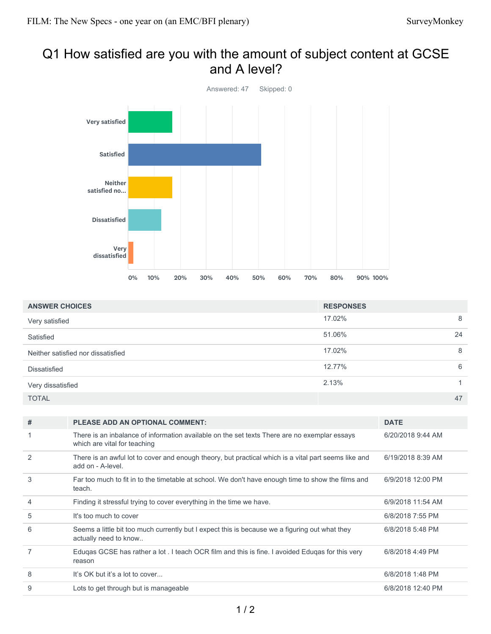# Q1 How satisfied are you with the amount of subject content at GCSE and A level?



| <b>ANSWER CHOICES</b>              | <b>RESPONSES</b> |    |
|------------------------------------|------------------|----|
| Very satisfied                     | 17.02%           | 8  |
| Satisfied                          | 51.06%           | 24 |
| Neither satisfied nor dissatisfied | 17.02%           | 8  |
| <b>Dissatisfied</b>                | 12.77%           | 6  |
| Very dissatisfied                  | 2.13%            |    |
| <b>TOTAL</b>                       |                  | 47 |

| #              | <b>PLEASE ADD AN OPTIONAL COMMENT:</b>                                                                                       | <b>DATE</b>       |
|----------------|------------------------------------------------------------------------------------------------------------------------------|-------------------|
|                | There is an inbalance of information available on the set texts There are no exemplar essays<br>which are vital for teaching | 6/20/2018 9:44 AM |
| 2              | There is an awful lot to cover and enough theory, but practical which is a vital part seems like and<br>add on - A-level.    | 6/19/2018 8:39 AM |
| 3              | Far too much to fit in to the timetable at school. We don't have enough time to show the films and<br>teach.                 | 6/9/2018 12:00 PM |
| 4              | Finding it stressful trying to cover everything in the time we have.                                                         | 6/9/2018 11:54 AM |
| 5              | It's too much to cover                                                                                                       | 6/8/2018 7:55 PM  |
| 6              | Seems a little bit too much currently but I expect this is because we a figuring out what they<br>actually need to know      | 6/8/2018 5:48 PM  |
| $\overline{7}$ | Edugas GCSE has rather a lot . I teach OCR film and this is fine. I avoided Edugas for this very<br>reason                   | 6/8/2018 4:49 PM  |
| 8              | It's OK but it's a lot to cover                                                                                              | 6/8/2018 1:48 PM  |
| 9              | Lots to get through but is manageable                                                                                        | 6/8/2018 12:40 PM |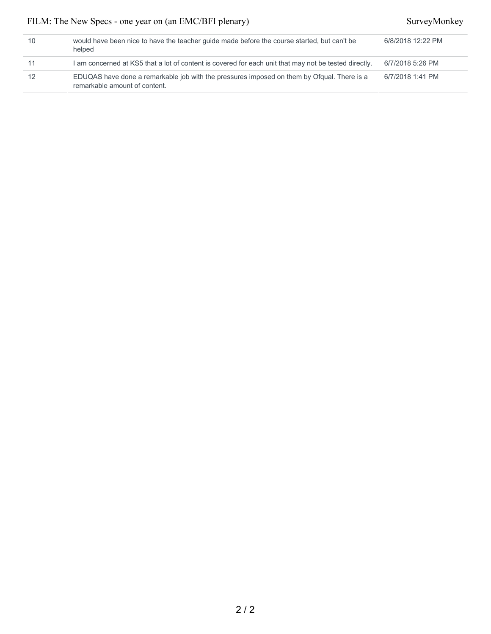| 10 | would have been nice to have the teacher quide made before the course started, but can't be<br>helped                       | 6/8/2018 12:22 PM |
|----|-----------------------------------------------------------------------------------------------------------------------------|-------------------|
|    | I am concerned at KS5 that a lot of content is covered for each unit that may not be tested directly.                       | 6/7/2018 5:26 PM  |
|    | EDUQAS have done a remarkable job with the pressures imposed on them by Ofqual. There is a<br>remarkable amount of content. | 6/7/2018 1:41 PM  |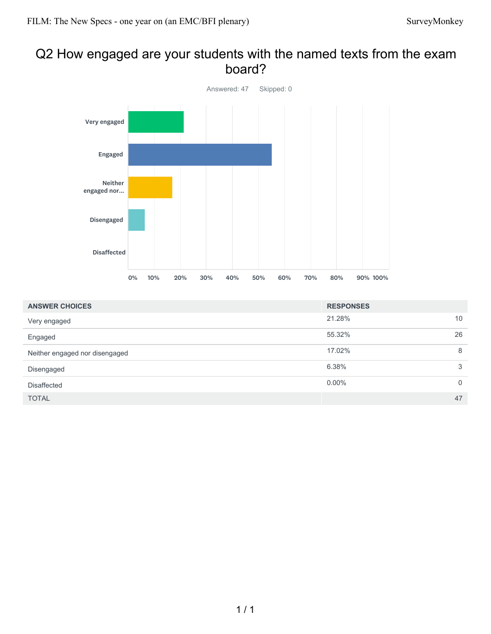## Q2 How engaged are your students with the named texts from the exam board?



| <b>ANSWER CHOICES</b>          | <b>RESPONSES</b> |             |
|--------------------------------|------------------|-------------|
| Very engaged                   | 21.28%           | 10          |
| Engaged                        | 55.32%           | 26          |
| Neither engaged nor disengaged | 17.02%           | 8           |
| Disengaged                     | 6.38%            | 3           |
| <b>Disaffected</b>             | $0.00\%$         | $\mathbf 0$ |
| <b>TOTAL</b>                   |                  | 47          |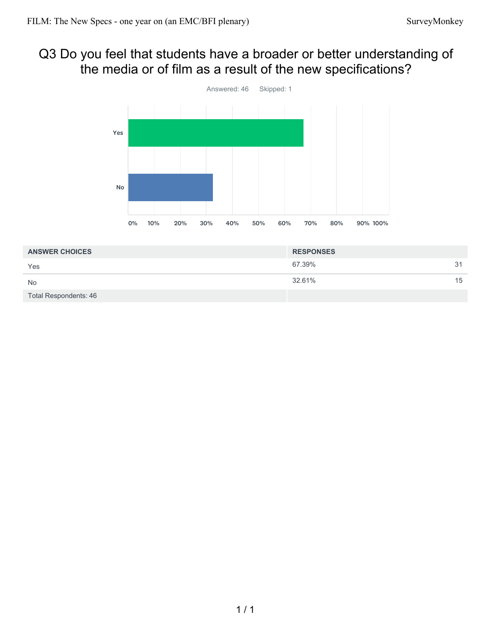## Q3 Do you feel that students have a broader or better understanding of the media or of film as a result of the new specifications?



| <b>ANSWER CHOICES</b>        | <b>RESPONSES</b> |    |
|------------------------------|------------------|----|
| Yes                          | 67.39%           | 31 |
| <b>No</b>                    | 32.61%           | 15 |
| <b>Total Respondents: 46</b> |                  |    |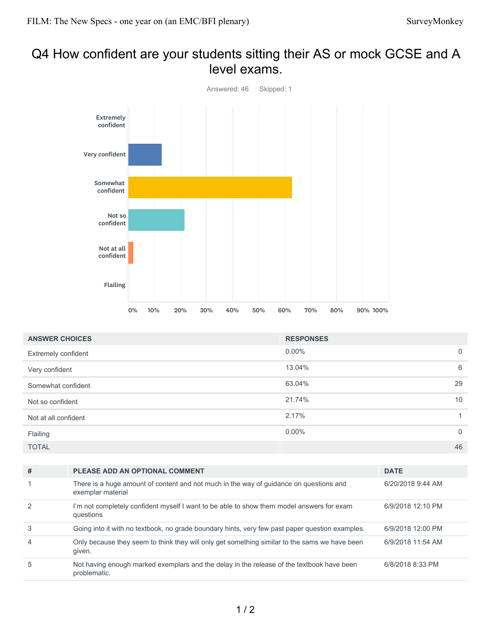## Q4 How confident are your students sitting their AS or mock GCSE and A level exams.



| <b>ANSWER CHOICES</b> | <b>RESPONSES</b> |                 |
|-----------------------|------------------|-----------------|
| Extremely confident   | $0.00\%$         | $\overline{0}$  |
| Very confident        | 13.04%           | 6               |
| Somewhat confident    | 63.04%           | 29              |
| Not so confident      | 21.74%           | 10 <sup>°</sup> |
| Not at all confident  | 2.17%            | 1               |
| Flailing              | $0.00\%$         | $\overline{0}$  |
| <b>TOTAL</b>          |                  | 46              |

| #              | <b>PLEASE ADD AN OPTIONAL COMMENT</b>                                                                       | <b>DATE</b>       |
|----------------|-------------------------------------------------------------------------------------------------------------|-------------------|
|                | There is a huge amount of content and not much in the way of guidance on questions and<br>exemplar material | 6/20/2018 9:44 AM |
| 2              | I'm not completely confident myself I want to be able to show them model answers for exam<br>questions      | 6/9/2018 12:10 PM |
| 3              | Going into it with no textbook, no grade boundary hints, very few past paper question examples.             | 6/9/2018 12:00 PM |
| $\overline{4}$ | Only because they seem to think they will only get something similar to the sams we have been<br>given.     | 6/9/2018 11:54 AM |
| 5              | Not having enough marked exemplars and the delay in the release of the textbook have been<br>problematic.   | 6/8/2018 8:33 PM  |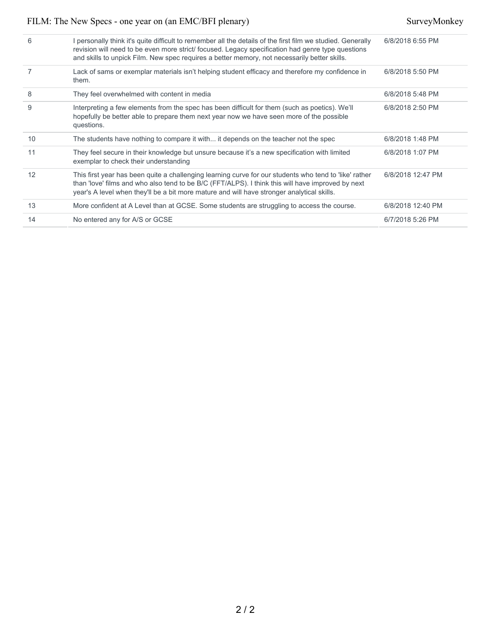| 6  | I personally think it's quite difficult to remember all the details of the first film we studied. Generally<br>revision will need to be even more strict/ focused. Legacy specification had genre type questions<br>and skills to unpick Film. New spec requires a better memory, not necessarily better skills. | 6/8/2018 6:55 PM  |
|----|------------------------------------------------------------------------------------------------------------------------------------------------------------------------------------------------------------------------------------------------------------------------------------------------------------------|-------------------|
|    | Lack of sams or exemplar materials isn't helping student efficacy and therefore my confidence in<br>them.                                                                                                                                                                                                        | 6/8/2018 5:50 PM  |
| 8  | They feel overwhelmed with content in media                                                                                                                                                                                                                                                                      | 6/8/2018 5:48 PM  |
| 9  | Interpreting a few elements from the spec has been difficult for them (such as poetics). We'll<br>hopefully be better able to prepare them next year now we have seen more of the possible<br>questions.                                                                                                         | 6/8/2018 2:50 PM  |
| 10 | The students have nothing to compare it with it depends on the teacher not the spec                                                                                                                                                                                                                              | 6/8/2018 1:48 PM  |
| 11 | They feel secure in their knowledge but unsure because it's a new specification with limited<br>exemplar to check their understanding                                                                                                                                                                            | 6/8/2018 1:07 PM  |
| 12 | This first year has been quite a challenging learning curve for our students who tend to 'like' rather<br>than 'love' films and who also tend to be B/C (FFT/ALPS). I think this will have improved by next<br>year's A level when they'll be a bit more mature and will have stronger analytical skills.        | 6/8/2018 12:47 PM |
| 13 | More confident at A Level than at GCSE. Some students are struggling to access the course.                                                                                                                                                                                                                       | 6/8/2018 12:40 PM |
| 14 | No entered any for A/S or GCSE                                                                                                                                                                                                                                                                                   | 6/7/2018 5:26 PM  |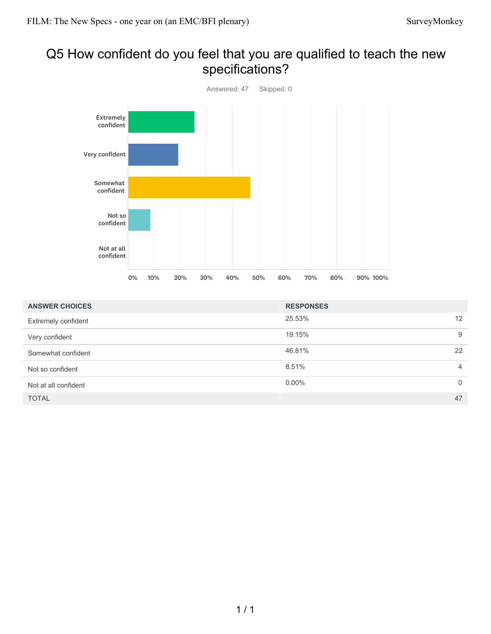# Q5 How confident do you feel that you are qualified to teach the new specifications?



| <b>ANSWER CHOICES</b> | <b>RESPONSES</b> |                |
|-----------------------|------------------|----------------|
| Extremely confident   | 25.53%           | 12             |
| Very confident        | 19.15%           | 9              |
| Somewhat confident    | 46.81%           | 22             |
| Not so confident      | 8.51%            | $\overline{4}$ |
| Not at all confident  | $0.00\%$         | $\Omega$       |
| <b>TOTAL</b>          |                  | 47             |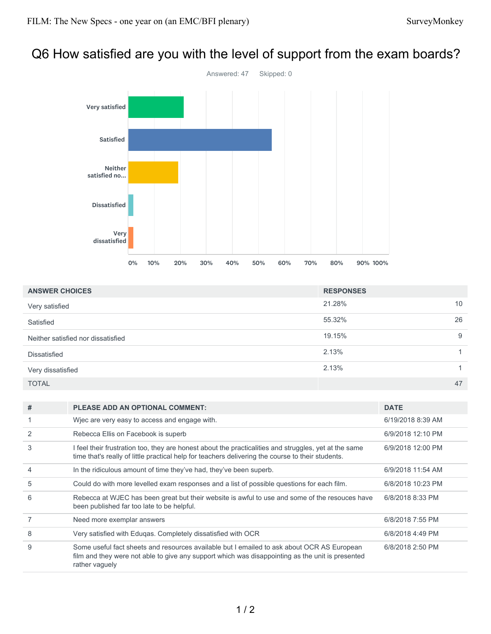# Q6 How satisfied are you with the level of support from the exam boards?



| <b>ANSWER CHOICES</b>              | <b>RESPONSES</b> |    |
|------------------------------------|------------------|----|
| Very satisfied                     | 21.28%           | 10 |
| Satisfied                          | 55.32%           | 26 |
| Neither satisfied nor dissatisfied | 19.15%           | 9  |
| <b>Dissatisfied</b>                | 2.13%            |    |
| Very dissatisfied                  | 2.13%            |    |
| <b>TOTAL</b>                       |                  | 47 |

| # | <b>PLEASE ADD AN OPTIONAL COMMENT:</b>                                                                                                                                                                           | <b>DATE</b>       |
|---|------------------------------------------------------------------------------------------------------------------------------------------------------------------------------------------------------------------|-------------------|
|   | Wiec are very easy to access and engage with.                                                                                                                                                                    | 6/19/2018 8:39 AM |
|   | Rebecca Ellis on Facebook is superb                                                                                                                                                                              | 6/9/2018 12:10 PM |
| 3 | I feel their frustration too, they are honest about the practicalities and struggles, yet at the same<br>time that's really of little practical help for teachers delivering the course to their students.       | 6/9/2018 12:00 PM |
| 4 | In the ridiculous amount of time they've had, they've been superb.                                                                                                                                               | 6/9/2018 11:54 AM |
| 5 | Could do with more levelled exam responses and a list of possible questions for each film.                                                                                                                       | 6/8/2018 10:23 PM |
| 6 | Rebecca at WJEC has been great but their website is awful to use and some of the resouces have<br>been published far too late to be helpful.                                                                     | 6/8/2018 8:33 PM  |
|   | Need more exemplar answers                                                                                                                                                                                       | 6/8/2018 7:55 PM  |
| 8 | Very satisfied with Edugas. Completely dissatisfied with OCR                                                                                                                                                     | 6/8/2018 4:49 PM  |
| 9 | Some useful fact sheets and resources available but I emailed to ask about OCR AS European<br>film and they were not able to give any support which was disappointing as the unit is presented<br>rather vaguely | 6/8/2018 2:50 PM  |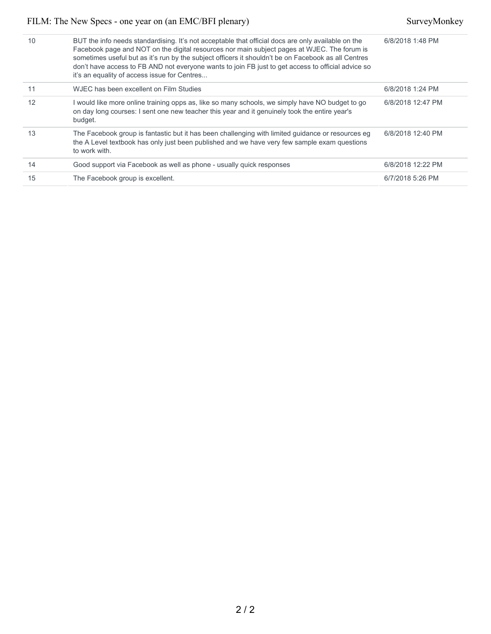| 10 | BUT the info needs standardising. It's not acceptable that official docs are only available on the<br>Facebook page and NOT on the digital resources nor main subject pages at WJEC. The forum is<br>sometimes useful but as it's run by the subject officers it shouldn't be on Facebook as all Centres<br>don't have access to FB AND not everyone wants to join FB just to get access to official advice so<br>it's an equality of access issue for Centres | 6/8/2018 1:48 PM  |
|----|----------------------------------------------------------------------------------------------------------------------------------------------------------------------------------------------------------------------------------------------------------------------------------------------------------------------------------------------------------------------------------------------------------------------------------------------------------------|-------------------|
|    | WJEC has been excellent on Film Studies                                                                                                                                                                                                                                                                                                                                                                                                                        | 6/8/2018 1:24 PM  |
| 12 | I would like more online training opps as, like so many schools, we simply have NO budget to go<br>on day long courses: I sent one new teacher this year and it genuinely took the entire year's<br>budget.                                                                                                                                                                                                                                                    | 6/8/2018 12:47 PM |
| 13 | The Facebook group is fantastic but it has been challenging with limited guidance or resources eg<br>the A Level textbook has only just been published and we have very few sample exam questions<br>to work with.                                                                                                                                                                                                                                             | 6/8/2018 12:40 PM |
| 14 | Good support via Facebook as well as phone - usually quick responses                                                                                                                                                                                                                                                                                                                                                                                           | 6/8/2018 12:22 PM |
| 15 | The Facebook group is excellent.                                                                                                                                                                                                                                                                                                                                                                                                                               | 6/7/2018 5:26 PM  |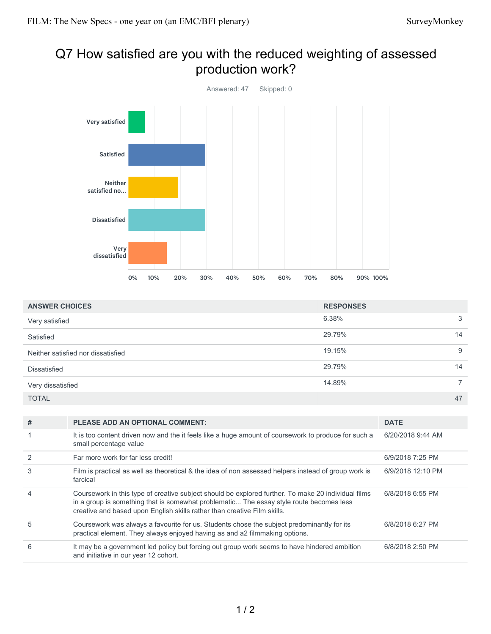# Q7 How satisfied are you with the reduced weighting of assessed production work?



| <b>ANSWER CHOICES</b>              | <b>RESPONSES</b> |             |
|------------------------------------|------------------|-------------|
| Very satisfied                     | 6.38%            | 3           |
| Satisfied                          | 29.79%           | 14          |
| Neither satisfied nor dissatisfied | 19.15%           | 9           |
| <b>Dissatisfied</b>                | 29.79%           | 14          |
| Very dissatisfied                  | 14.89%           | $7^{\circ}$ |
| <b>TOTAL</b>                       |                  | 47          |

| # | <b>PLEASE ADD AN OPTIONAL COMMENT:</b>                                                                                                                                                                                                                                     | <b>DATE</b>       |
|---|----------------------------------------------------------------------------------------------------------------------------------------------------------------------------------------------------------------------------------------------------------------------------|-------------------|
|   | It is too content driven now and the it feels like a huge amount of coursework to produce for such a<br>small percentage value                                                                                                                                             | 6/20/2018 9:44 AM |
|   | Far more work for far less credit!                                                                                                                                                                                                                                         | 6/9/2018 7:25 PM  |
| 3 | Film is practical as well as theoretical & the idea of non assessed helpers instead of group work is<br>farcical                                                                                                                                                           | 6/9/2018 12:10 PM |
|   | Coursework in this type of creative subject should be explored further. To make 20 individual films<br>in a group is something that is somewhat problematic The essay style route becomes less<br>creative and based upon English skills rather than creative Film skills. | 6/8/2018 6:55 PM  |
| 5 | Coursework was always a favourite for us. Students chose the subject predominantly for its<br>practical element. They always enjoyed having as and a2 filmmaking options.                                                                                                  | 6/8/2018 6:27 PM  |
| 6 | It may be a government led policy but forcing out group work seems to have hindered ambition<br>and initiative in our year 12 cohort.                                                                                                                                      | 6/8/2018 2:50 PM  |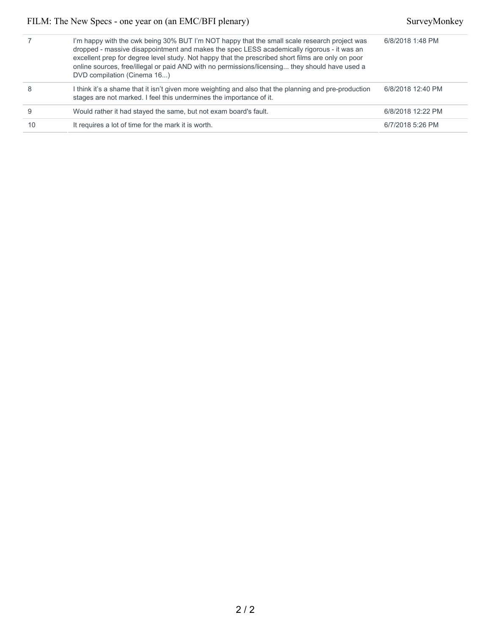|    | I'm happy with the cwk being 30% BUT I'm NOT happy that the small scale research project was<br>dropped - massive disappointment and makes the spec LESS academically rigorous - it was an<br>excellent prep for degree level study. Not happy that the prescribed short films are only on poor<br>online sources, free/illegal or paid AND with no permissions/licensing they should have used a<br>DVD compilation (Cinema 16) | 6/8/2018 1:48 PM  |
|----|----------------------------------------------------------------------------------------------------------------------------------------------------------------------------------------------------------------------------------------------------------------------------------------------------------------------------------------------------------------------------------------------------------------------------------|-------------------|
| 8  | I think it's a shame that it isn't given more weighting and also that the planning and pre-production<br>stages are not marked. I feel this undermines the importance of it.                                                                                                                                                                                                                                                     | 6/8/2018 12:40 PM |
| 9  | Would rather it had stayed the same, but not exam board's fault.                                                                                                                                                                                                                                                                                                                                                                 | 6/8/2018 12:22 PM |
| 10 | It requires a lot of time for the mark it is worth.                                                                                                                                                                                                                                                                                                                                                                              | 6/7/2018 5:26 PM  |
|    |                                                                                                                                                                                                                                                                                                                                                                                                                                  |                   |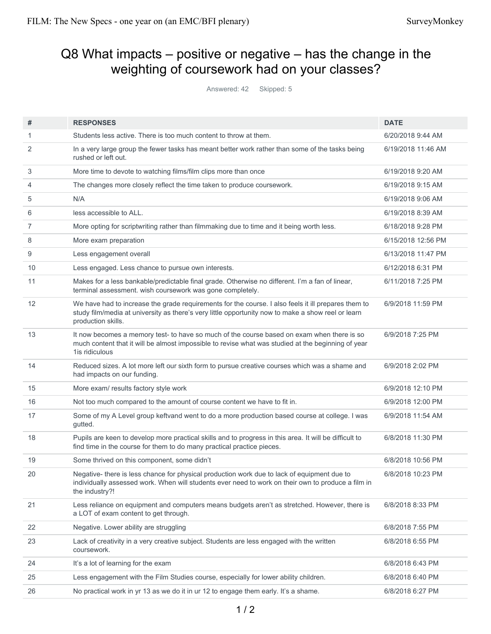# Q8 What impacts – positive or negative – has the change in the weighting of coursework had on your classes?

Answered: 42 Skipped: 5

| #  | <b>RESPONSES</b>                                                                                                                                                                                                                | <b>DATE</b>        |
|----|---------------------------------------------------------------------------------------------------------------------------------------------------------------------------------------------------------------------------------|--------------------|
| 1  | Students less active. There is too much content to throw at them.                                                                                                                                                               | 6/20/2018 9:44 AM  |
| 2  | In a very large group the fewer tasks has meant better work rather than some of the tasks being<br>rushed or left out.                                                                                                          | 6/19/2018 11:46 AM |
| 3  | More time to devote to watching films/film clips more than once                                                                                                                                                                 | 6/19/2018 9:20 AM  |
| 4  | The changes more closely reflect the time taken to produce coursework.                                                                                                                                                          | 6/19/2018 9:15 AM  |
| 5  | N/A                                                                                                                                                                                                                             | 6/19/2018 9:06 AM  |
| 6  | less accessible to ALL.                                                                                                                                                                                                         | 6/19/2018 8:39 AM  |
| 7  | More opting for scriptwriting rather than filmmaking due to time and it being worth less.                                                                                                                                       | 6/18/2018 9:28 PM  |
| 8  | More exam preparation                                                                                                                                                                                                           | 6/15/2018 12:56 PM |
| 9  | Less engagement overall                                                                                                                                                                                                         | 6/13/2018 11:47 PM |
| 10 | Less engaged. Less chance to pursue own interests.                                                                                                                                                                              | 6/12/2018 6:31 PM  |
| 11 | Makes for a less bankable/predictable final grade. Otherwise no different. I'm a fan of linear,<br>terminal assessment. wish coursework was gone completely.                                                                    | 6/11/2018 7:25 PM  |
| 12 | We have had to increase the grade requirements for the course. I also feels it ill prepares them to<br>study film/media at university as there's very little opportunity now to make a show reel or learn<br>production skills. | 6/9/2018 11:59 PM  |
| 13 | It now becomes a memory test- to have so much of the course based on exam when there is so<br>much content that it will be almost impossible to revise what was studied at the beginning of year<br>1is ridiculous              | 6/9/2018 7:25 PM   |
| 14 | Reduced sizes. A lot more left our sixth form to pursue creative courses which was a shame and<br>had impacts on our funding.                                                                                                   | 6/9/2018 2:02 PM   |
| 15 | More exam/results factory style work                                                                                                                                                                                            | 6/9/2018 12:10 PM  |
| 16 | Not too much compared to the amount of course content we have to fit in.                                                                                                                                                        | 6/9/2018 12:00 PM  |
| 17 | Some of my A Level group keftvand went to do a more production based course at college. I was<br>gutted.                                                                                                                        | 6/9/2018 11:54 AM  |
| 18 | Pupils are keen to develop more practical skills and to progress in this area. It will be difficult to<br>find time in the course for them to do many practical practice pieces.                                                | 6/8/2018 11:30 PM  |
| 19 | Some thrived on this component, some didn't                                                                                                                                                                                     | 6/8/2018 10:56 PM  |
| 20 | Negative- there is less chance for physical production work due to lack of equipment due to<br>individually assessed work. When will students ever need to work on their own to produce a film in<br>the industry?!             | 6/8/2018 10:23 PM  |
| 21 | Less reliance on equipment and computers means budgets aren't as stretched. However, there is<br>a LOT of exam content to get through.                                                                                          | 6/8/2018 8:33 PM   |
| 22 | Negative. Lower ability are struggling                                                                                                                                                                                          | 6/8/2018 7:55 PM   |
| 23 | Lack of creativity in a very creative subject. Students are less engaged with the written<br>coursework.                                                                                                                        | 6/8/2018 6:55 PM   |
| 24 | It's a lot of learning for the exam                                                                                                                                                                                             | 6/8/2018 6:43 PM   |
| 25 | Less engagement with the Film Studies course, especially for lower ability children.                                                                                                                                            | 6/8/2018 6:40 PM   |
| 26 | No practical work in yr 13 as we do it in ur 12 to engage them early. It's a shame.                                                                                                                                             | 6/8/2018 6:27 PM   |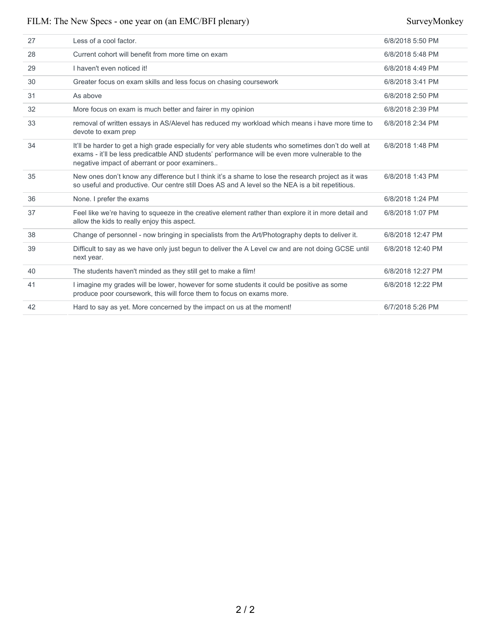| 27 | Less of a cool factor.                                                                                                                                                                                                                                   | 6/8/2018 5:50 PM  |
|----|----------------------------------------------------------------------------------------------------------------------------------------------------------------------------------------------------------------------------------------------------------|-------------------|
| 28 | Current cohort will benefit from more time on exam                                                                                                                                                                                                       | 6/8/2018 5:48 PM  |
| 29 | I haven't even noticed it!                                                                                                                                                                                                                               | 6/8/2018 4:49 PM  |
| 30 | Greater focus on exam skills and less focus on chasing coursework                                                                                                                                                                                        | 6/8/2018 3:41 PM  |
| 31 | As above                                                                                                                                                                                                                                                 | 6/8/2018 2:50 PM  |
| 32 | More focus on exam is much better and fairer in my opinion                                                                                                                                                                                               | 6/8/2018 2:39 PM  |
| 33 | removal of written essays in AS/Alevel has reduced my workload which means i have more time to<br>devote to exam prep                                                                                                                                    | 6/8/2018 2:34 PM  |
| 34 | It'll be harder to get a high grade especially for very able students who sometimes don't do well at<br>exams - it'll be less predicatble AND students' performance will be even more vulnerable to the<br>negative impact of aberrant or poor examiners | 6/8/2018 1:48 PM  |
| 35 | New ones don't know any difference but I think it's a shame to lose the research project as it was<br>so useful and productive. Our centre still Does AS and A level so the NEA is a bit repetitious.                                                    | 6/8/2018 1:43 PM  |
| 36 | None. I prefer the exams                                                                                                                                                                                                                                 | 6/8/2018 1:24 PM  |
| 37 | Feel like we're having to squeeze in the creative element rather than explore it in more detail and<br>allow the kids to really enjoy this aspect.                                                                                                       | 6/8/2018 1:07 PM  |
| 38 | Change of personnel - now bringing in specialists from the Art/Photography depts to deliver it.                                                                                                                                                          | 6/8/2018 12:47 PM |
| 39 | Difficult to say as we have only just begun to deliver the A Level cw and are not doing GCSE until<br>next year.                                                                                                                                         | 6/8/2018 12:40 PM |
| 40 | The students haven't minded as they still get to make a film!                                                                                                                                                                                            | 6/8/2018 12:27 PM |
| 41 | I imagine my grades will be lower, however for some students it could be positive as some<br>produce poor coursework, this will force them to focus on exams more.                                                                                       | 6/8/2018 12:22 PM |
| 42 | Hard to say as yet. More concerned by the impact on us at the moment!                                                                                                                                                                                    | 6/7/2018 5:26 PM  |
|    |                                                                                                                                                                                                                                                          |                   |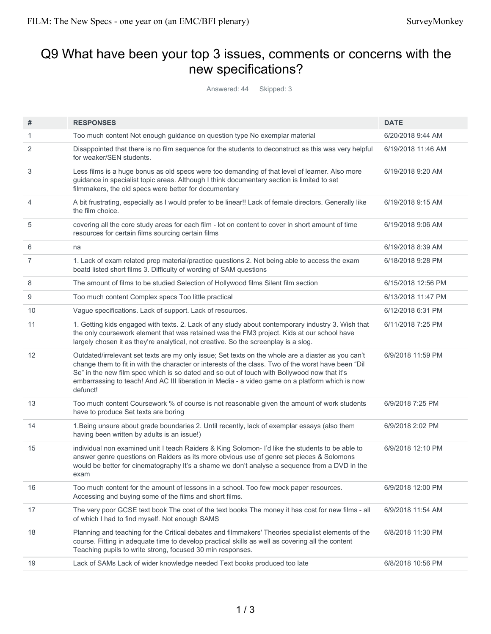# Q9 What have been your top 3 issues, comments or concerns with the new specifications?

Answered: 44 Skipped: 3

| #              | <b>RESPONSES</b>                                                                                                                                                                                                                                                                                                                                                                                                        | <b>DATE</b>        |
|----------------|-------------------------------------------------------------------------------------------------------------------------------------------------------------------------------------------------------------------------------------------------------------------------------------------------------------------------------------------------------------------------------------------------------------------------|--------------------|
| 1              | Too much content Not enough guidance on question type No exemplar material                                                                                                                                                                                                                                                                                                                                              | 6/20/2018 9:44 AM  |
| 2              | Disappointed that there is no film sequence for the students to deconstruct as this was very helpful<br>for weaker/SEN students.                                                                                                                                                                                                                                                                                        | 6/19/2018 11:46 AM |
| 3              | Less films is a huge bonus as old specs were too demanding of that level of learner. Also more<br>guidance in specialist topic areas. Although I think documentary section is limited to set<br>filmmakers, the old specs were better for documentary                                                                                                                                                                   | 6/19/2018 9:20 AM  |
| $\overline{4}$ | A bit frustrating, especially as I would prefer to be linear!! Lack of female directors. Generally like<br>the film choice.                                                                                                                                                                                                                                                                                             | 6/19/2018 9:15 AM  |
| 5              | covering all the core study areas for each film - lot on content to cover in short amount of time<br>resources for certain films sourcing certain films                                                                                                                                                                                                                                                                 | 6/19/2018 9:06 AM  |
| 6              | na                                                                                                                                                                                                                                                                                                                                                                                                                      | 6/19/2018 8:39 AM  |
| $\overline{7}$ | 1. Lack of exam related prep material/practice questions 2. Not being able to access the exam<br>boatd listed short films 3. Difficulty of wording of SAM questions                                                                                                                                                                                                                                                     | 6/18/2018 9:28 PM  |
| 8              | The amount of films to be studied Selection of Hollywood films Silent film section                                                                                                                                                                                                                                                                                                                                      | 6/15/2018 12:56 PM |
| 9              | Too much content Complex specs Too little practical                                                                                                                                                                                                                                                                                                                                                                     | 6/13/2018 11:47 PM |
| 10             | Vague specifications. Lack of support. Lack of resources.                                                                                                                                                                                                                                                                                                                                                               | 6/12/2018 6:31 PM  |
| 11             | 1. Getting kids engaged with texts. 2. Lack of any study about contemporary industry 3. Wish that<br>the only coursework element that was retained was the FM3 project. Kids at our school have<br>largely chosen it as they're analytical, not creative. So the screenplay is a slog.                                                                                                                                  | 6/11/2018 7:25 PM  |
| 12             | Outdated/irrelevant set texts are my only issue; Set texts on the whole are a diaster as you can't<br>change them to fit in with the character or interests of the class. Two of the worst have been "Dil<br>Se" in the new film spec which is so dated and so out of touch with Bollywood now that it's<br>embarrassing to teach! And AC III liberation in Media - a video game on a platform which is now<br>defunct! | 6/9/2018 11:59 PM  |
| 13             | Too much content Coursework % of course is not reasonable given the amount of work students<br>have to produce Set texts are boring                                                                                                                                                                                                                                                                                     | 6/9/2018 7:25 PM   |
| 14             | 1. Being unsure about grade boundaries 2. Until recently, lack of exemplar essays (also them<br>having been written by adults is an issue!)                                                                                                                                                                                                                                                                             | 6/9/2018 2:02 PM   |
| 15             | individual non examined unit I teach Raiders & King Solomon- I'd like the students to be able to<br>answer genre questions on Raiders as its more obvious use of genre set pieces & Solomons<br>would be better for cinematography It's a shame we don't analyse a sequence from a DVD in the<br>exam                                                                                                                   | 6/9/2018 12:10 PM  |
| 16             | Too much content for the amount of lessons in a school. Too few mock paper resources.<br>Accessing and buying some of the films and short films.                                                                                                                                                                                                                                                                        | 6/9/2018 12:00 PM  |
| 17             | The very poor GCSE text book The cost of the text books The money it has cost for new films - all<br>of which I had to find myself. Not enough SAMS                                                                                                                                                                                                                                                                     | 6/9/2018 11:54 AM  |
| 18             | Planning and teaching for the Critical debates and filmmakers' Theories specialist elements of the<br>course. Fitting in adequate time to develop practical skills as well as covering all the content<br>Teaching pupils to write strong, focused 30 min responses.                                                                                                                                                    | 6/8/2018 11:30 PM  |
| 19             | Lack of SAMs Lack of wider knowledge needed Text books produced too late                                                                                                                                                                                                                                                                                                                                                | 6/8/2018 10:56 PM  |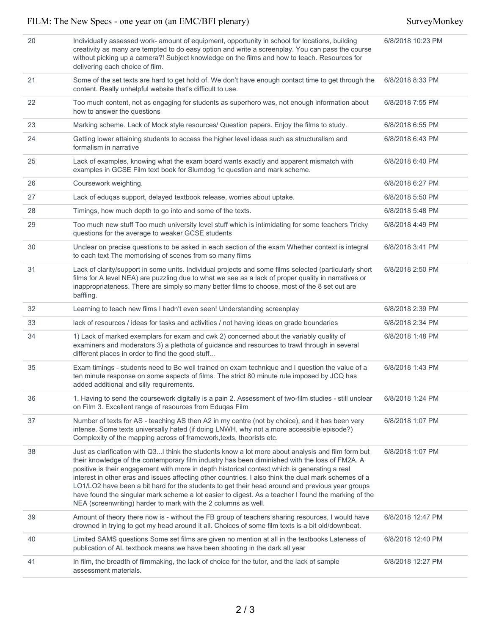| 20 | Individually assessed work- amount of equipment, opportunity in school for locations, building<br>creativity as many are tempted to do easy option and write a screenplay. You can pass the course<br>without picking up a camera?! Subject knowledge on the films and how to teach. Resources for<br>delivering each choice of film.                                                                                                                                                                                                                                                                                                                                                     | 6/8/2018 10:23 PM |
|----|-------------------------------------------------------------------------------------------------------------------------------------------------------------------------------------------------------------------------------------------------------------------------------------------------------------------------------------------------------------------------------------------------------------------------------------------------------------------------------------------------------------------------------------------------------------------------------------------------------------------------------------------------------------------------------------------|-------------------|
| 21 | Some of the set texts are hard to get hold of. We don't have enough contact time to get through the<br>content. Really unhelpful website that's difficult to use.                                                                                                                                                                                                                                                                                                                                                                                                                                                                                                                         | 6/8/2018 8:33 PM  |
| 22 | Too much content, not as engaging for students as superhero was, not enough information about<br>how to answer the questions                                                                                                                                                                                                                                                                                                                                                                                                                                                                                                                                                              | 6/8/2018 7:55 PM  |
| 23 | Marking scheme. Lack of Mock style resources/ Question papers. Enjoy the films to study.                                                                                                                                                                                                                                                                                                                                                                                                                                                                                                                                                                                                  | 6/8/2018 6:55 PM  |
| 24 | Getting lower attaining students to access the higher level ideas such as structuralism and<br>formalism in narrative                                                                                                                                                                                                                                                                                                                                                                                                                                                                                                                                                                     | 6/8/2018 6:43 PM  |
| 25 | Lack of examples, knowing what the exam board wants exactly and apparent mismatch with<br>examples in GCSE Film text book for Slumdog 1c question and mark scheme.                                                                                                                                                                                                                                                                                                                                                                                                                                                                                                                        | 6/8/2018 6:40 PM  |
| 26 | Coursework weighting.                                                                                                                                                                                                                                                                                                                                                                                                                                                                                                                                                                                                                                                                     | 6/8/2018 6:27 PM  |
| 27 | Lack of edugas support, delayed textbook release, worries about uptake.                                                                                                                                                                                                                                                                                                                                                                                                                                                                                                                                                                                                                   | 6/8/2018 5:50 PM  |
| 28 | Timings, how much depth to go into and some of the texts.                                                                                                                                                                                                                                                                                                                                                                                                                                                                                                                                                                                                                                 | 6/8/2018 5:48 PM  |
| 29 | Too much new stuff Too much university level stuff which is intimidating for some teachers Tricky<br>questions for the average to weaker GCSE students                                                                                                                                                                                                                                                                                                                                                                                                                                                                                                                                    | 6/8/2018 4:49 PM  |
| 30 | Unclear on precise questions to be asked in each section of the exam Whether context is integral<br>to each text The memorising of scenes from so many films                                                                                                                                                                                                                                                                                                                                                                                                                                                                                                                              | 6/8/2018 3:41 PM  |
| 31 | Lack of clarity/support in some units. Individual projects and some films selected (particularly short<br>films for A level NEA) are puzzling due to what we see as a lack of proper quality in narratives or<br>inappropriateness. There are simply so many better films to choose, most of the 8 set out are<br>baffling.                                                                                                                                                                                                                                                                                                                                                               | 6/8/2018 2:50 PM  |
| 32 | Learning to teach new films I hadn't even seen! Understanding screenplay                                                                                                                                                                                                                                                                                                                                                                                                                                                                                                                                                                                                                  | 6/8/2018 2:39 PM  |
| 33 | lack of resources / ideas for tasks and activities / not having ideas on grade boundaries                                                                                                                                                                                                                                                                                                                                                                                                                                                                                                                                                                                                 | 6/8/2018 2:34 PM  |
| 34 | 1) Lack of marked exemplars for exam and cwk 2) concerned about the variably quality of<br>examiners and moderators 3) a plethota of guidance and resources to trawl through in several<br>different places in order to find the good stuff                                                                                                                                                                                                                                                                                                                                                                                                                                               | 6/8/2018 1:48 PM  |
| 35 | Exam timings - students need to Be well trained on exam technique and I question the value of a<br>ten minute response on some aspects of films. The strict 80 minute rule imposed by JCQ has<br>added additional and silly requirements.                                                                                                                                                                                                                                                                                                                                                                                                                                                 | 6/8/2018 1:43 PM  |
| 36 | 1. Having to send the coursework digitally is a pain 2. Assessment of two-film studies - still unclear<br>on Film 3. Excellent range of resources from Eduqas Film                                                                                                                                                                                                                                                                                                                                                                                                                                                                                                                        | 6/8/2018 1:24 PM  |
| 37 | Number of texts for AS - teaching AS then A2 in my centre (not by choice), and it has been very<br>intense. Some texts universally hated (if doing LNWH, why not a more accessible episode?)<br>Complexity of the mapping across of framework, texts, theorists etc.                                                                                                                                                                                                                                                                                                                                                                                                                      | 6/8/2018 1:07 PM  |
| 38 | Just as clarification with Q3I think the students know a lot more about analysis and film form but<br>their knowledge of the contemporary film industry has been diminished with the loss of FM2A. A<br>positive is their engagement with more in depth historical context which is generating a real<br>interest in other eras and issues affecting other countries. I also think the dual mark schemes of a<br>LO1/LO2 have been a bit hard for the students to get their head around and previous year groups<br>have found the singular mark scheme a lot easier to digest. As a teacher I found the marking of the<br>NEA (screenwriting) harder to mark with the 2 columns as well. | 6/8/2018 1:07 PM  |
| 39 | Amount of theory there now is - without the FB group of teachers sharing resources, I would have<br>drowned in trying to get my head around it all. Choices of some film texts is a bit old/downbeat.                                                                                                                                                                                                                                                                                                                                                                                                                                                                                     | 6/8/2018 12:47 PM |
| 40 | Limited SAMS questions Some set films are given no mention at all in the textbooks Lateness of<br>publication of AL textbook means we have been shooting in the dark all year                                                                                                                                                                                                                                                                                                                                                                                                                                                                                                             | 6/8/2018 12:40 PM |
| 41 | In film, the breadth of filmmaking, the lack of choice for the tutor, and the lack of sample<br>assessment materials.                                                                                                                                                                                                                                                                                                                                                                                                                                                                                                                                                                     | 6/8/2018 12:27 PM |